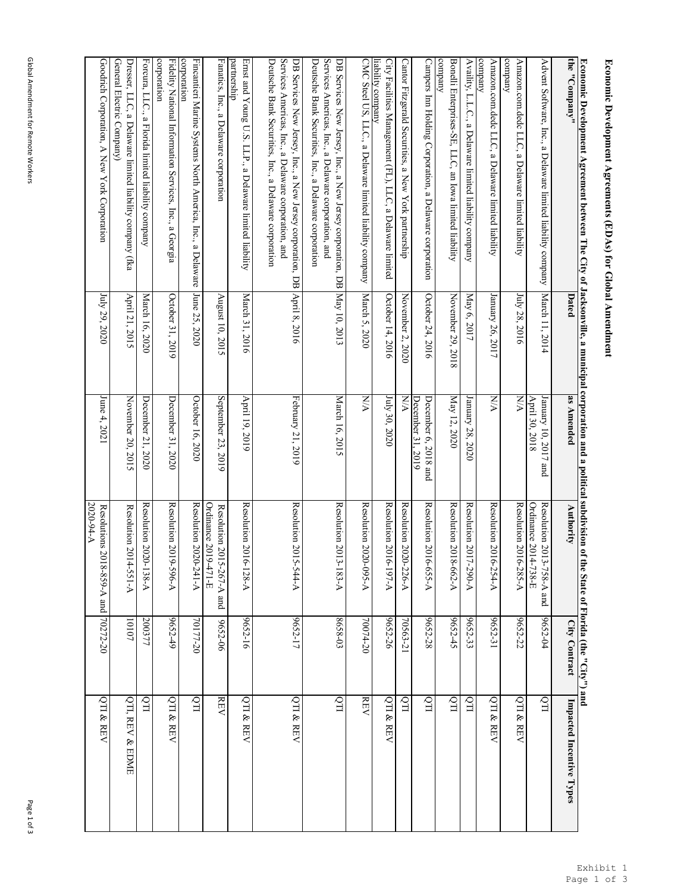corporation

Fidelity National Information Services, Inc., a Georgia<br>corporation

Forcura, LLC., a Florida limited liability company

Forcura, LLC., a Florida limited liability company

Dresser, LLC, a Delaware limited liability company (fka April 21, 2015

Dresser, L.LC, a Delaware limited liability company (fka<br>General Electric Company)

General Electric Company)

Goodrich Corporation, A New York Corporation

Goodrich Corporation, A New York Corporation

July 29, 2020

July 29, 2020

June 4, 2021

June 4, 2021

Resolutions 2018-859-A and<br>2020-94-A

Resolutions 2018-859-A and 70272-20

70272-20

QTI & REV

March 16, 2020

March 16, 2020

April 21, 2015

December 21, 2020

December 21, 2020

November 20, 2015

Resolution 2020-138-A

Resolution  $2020$ -138-A Resolution 2014-551-A

November 20, 2015 Resolution 2014-551-A 10107

200377

10107

QTI

QTI, REV & EDME

QTI, REV & EDME

Fidelity National Information Services, Inc., a Georgia October 31, 2019

Fincantieri Marine Systems North America, Inc., a Delaware June 25, 2020

Fincantieri Marine Systems North America, Inc., a Delaware

October 16, 2020

October 16, 2020

June 25, 2020

December 31, 2020

December 31, 2020

October 31, 2019

Resolution 2019-596-A

Resolution 2019-596-A

9652-49

QTI & REV

Resolution 2020-241-A

Resolution 2020-241-A

70177-20

QTI

| the "Company"                                                                                                                                                                | Dated             | as Amended                                                    | Authority                                         | City Contract | Impacted Incentive Types |
|------------------------------------------------------------------------------------------------------------------------------------------------------------------------------|-------------------|---------------------------------------------------------------|---------------------------------------------------|---------------|--------------------------|
| Advent Software, Inc., a Delaware limited liability company                                                                                                                  | March 11, 2014    | January 10,<br>April 30, 2018<br>2017 and                     | Resolution 2013-758-A and<br>Ordinance 2014-738-E | 9652-04       | QTI                      |
| company<br>Amazon.com.dedc LLC, a Delaware limited liability                                                                                                                 | July 28, 2016     | <b>N/A</b>                                                    | Resolution 2016-285-A                             | 9652-22       | QTI & REV                |
| company<br>Amazon.com.dedc LLC, a Delaware limited liability                                                                                                                 | January 26, 2017  | <b>N/A</b>                                                    | Resolution 2016-254-A                             | 9652-31       | QTI & REV                |
| Availity, L.L.C., a Delaware limited liability company                                                                                                                       | May 6, 2017       | January 28,<br>2020                                           | Resolution $2017 - 290 - A$                       | 9652-33       | ITQ.                     |
| company<br>Bonelli Enterprises-SE, LLC, an Iowa limited liability                                                                                                            | November 29, 2018 | May 12, 2020                                                  | Resolution 2018-662-A                             | 9652-45       | $\overline{CD}$          |
| Campers Inn Holding Corporation, a Delaware corporation                                                                                                                      | October 24, 2016  | December 3<br>December 6,<br>$\frac{1}{2}$ , 2019<br>2018 and | Resolution 2016-655-A                             | 9652-28       | QTI                      |
| Cantor Fitzgerald Securities, a New York partnership                                                                                                                         | November 2, 2020  | <b>N/A</b>                                                    | Resolution 2020-226-A                             | 70563-21      | QП                       |
| City Facilities Management (FL), LLC, a Delaware limited<br>liability company                                                                                                | October 14, 2016  | July 30, 2020                                                 | Resolution 2016-197-A                             | 9652-26       | QTI & REV                |
| CMC Steel US, LLC., a Delaware limited liability company                                                                                                                     | March 5, 2020     | NA                                                            | Resolution 2020-095-A                             | 70074-20      | <b>REV</b>               |
| Services Americas, Inc., a Delaware corporation, and<br>Deutsche Bank Securities, Inc., a Delaware corporation<br>DB Services New Jersey, Inc., a New Jersey corporation, DB | May 10, 2013      | March 16, 2015                                                | Resolution 2013-183-A                             | $8658 - 03$   | QTI                      |
| Services Americas, Inc., a Delaware corporation, and<br>Deutsche Bank Securities, Inc., a Delaware corporation<br>DB Services New Jersey, Inc., a New Jersey corporation, DB | April 8, 2016     | February 21, 2019                                             | Resolution 2015-544-A                             | 9652-17       | QTI & REV                |
| partnership<br>Ernst and Young U.S. LLP., a Delaware limited liability                                                                                                       | March 31, 2016    | April 19, 2019                                                | Resolution 2016-128-A                             | 9652-16       | QTI & REV                |
| Fanatics, Inc., a Delaware corporation                                                                                                                                       | August 10, 2015   | September 23, 2019                                            | Ordinance 2019-471-E<br>Resolution 2015-267-A and | 9652-06       | <b>REV</b>               |

## Economic Development Agreements (EDAs) for Global Amendment **Economic Development Agreements (EDAs) for Global Amendment**

**Economic Development Agreement between The City of Jacksonville, a municipal corporation and a political subdivision of the State of Florida (the "City") and**

Economic Development Agreement between The City of Jacksonville, a municipal corporation and a political subdivision of the State of Florida (the "City") and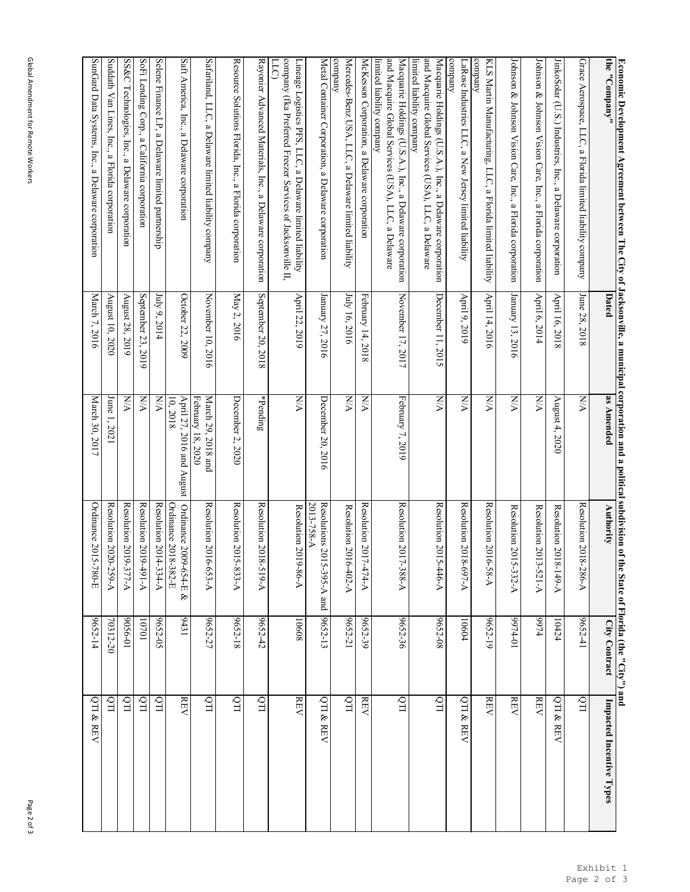| the<br>"Company"                                                                                                                                 | Dated                                          | as Amended                                     | Authority                                                 | City Contract      | Impacted Incentive Types |
|--------------------------------------------------------------------------------------------------------------------------------------------------|------------------------------------------------|------------------------------------------------|-----------------------------------------------------------|--------------------|--------------------------|
| Grace Aerospace,<br>LLC, a Florida limited liability company                                                                                     | June $28$ ,<br>, 2018                          | <b>N/A</b>                                     | Resolution 2018-286-A                                     | 9652-41            | ITO                      |
| JinkoSolar (U.S.) Industries,<br>Inc.,<br>a Delaware<br>corporation                                                                              | April 16,<br>2018                              | August $4$ ,<br>2020                           | Resolution 2018-149-A                                     | 10424              | QTI & REV                |
| Johnson & Johnson Vision Care, Inc., a Florida corporation                                                                                       | April 6, 2014                                  | NA                                             | Resolution 2013-521-A                                     | <b>t</b> L66       | <b>REV</b>               |
| Johnson & Johnson<br>Vision Care,<br>Inc.,<br>$\boldsymbol{a}$<br>Florida corporation                                                            | January 13, 2016                               | NA                                             | Resolution 2015-332-A                                     | $10 - t166$        | <b>REV</b>               |
| company<br><b>KLS</b><br>Martin Manufacturing,<br>LLC, a<br>Florida limited liability                                                            | April 14, 2016                                 | NA                                             | Resolution 2016-58-A                                      | 9652-19            | $\operatorname{REV}$     |
| company<br>LaRose Industries LLC, a New Jersey limited liability                                                                                 | April 9, 2019                                  | NA                                             | Resolution 2018-697-A                                     | 10604              | QTI & REV                |
| and Macquire Global Services (USA), LLC, a Delaware<br>Macquarie Holdings (U.S.A.),<br>limited liability company<br>Inc., a Delaware corporation | December 11, 2015                              | NA                                             | Resolution 2015-446-A                                     | 9652-08            | $\overline{\text{L}}$    |
| and Macquire Global Services (USA), LLC, a Delaware<br>Macquarie Holdings (U.S.A.), Inc., a Delaware corporation<br>limited liability company    | November 17, 2017                              | February 7<br>2019                             | Resolution 2017-388-A                                     | 9652-36            | QTI                      |
| McKesson Corporation,<br>B<br>Delaware corporation                                                                                               | February 14,<br>, 2018                         | XX                                             | Resolution 2017-474-A                                     | 9652-39            | $\operatorname{REV}$     |
| company<br>Mercedes-Benz USA, LLC, a Delaware limited liability                                                                                  | July 16, 2016                                  | NA                                             | Resolution 2016-402-A                                     | 9652-21            | $\overline{Q}$           |
| Metal Container Corporation, a Delaware corporation                                                                                              | January 27, 2016                               | December<br>20, 2016                           | 2013-758-A<br>Resolutions 2015-395-A and                  | 9652-13            | QTI & REV                |
| company (fka Preferred Freezer Services of Jacksonville II,<br>LLC<br>Lineage Logistics PFS,<br>LLC, a Delaware limited liability                | April 22,<br>2019                              | NA                                             | Resolution 2019-86-A                                      | 10608              | <b>REV</b>               |
| Rayonier Advanced Materials, Inc.,<br>$\boldsymbol{a}$<br>Delaware corporation                                                                   | September 20,<br>2018                          | $*$ Pending                                    | Resolution 2018-519-A                                     | 9652-42            | ЦÒ                       |
| Resource Solutions Florida, Inc.,<br>a Florida corporation                                                                                       | May 2, 2016                                    | December<br>2, 2020                            | Resolution 2015-833-A                                     | 9652-18            | ITQ <sup>1</sup>         |
| Safariland, LLC,<br>a Delaware limited liability company                                                                                         | November 10, 2016                              | February 1<br>March 29,<br>8, 2020<br>2018 and | Resolution 2016-653-A                                     | 9652-27            | ЦÒ                       |
| Saft America, Inc.,<br>a Delaware corporation                                                                                                    | October 22, 2009                               | 10, 2018<br>April 27,<br>N<br>016 and August   | Ordinance 2018-382-E<br>Ordinance 2009-654-E<br>$\otimes$ | 19431              | <b>REV</b>               |
| Selene Finance LP, a Delaware limited partnership                                                                                                | July 9, 2014                                   | NN                                             | Resolution 2014-334-A                                     | 9652-05            | $\overline{CD}$          |
| SS&C<br>SoFi Lending Corp.,<br>Technologies, Inc., a Delaware corporation<br>a California corporation                                            | September<br>August 28,<br>23,<br>2019<br>2019 | <b>NA</b><br>XNA                               | Resolution 2019-377-A<br>Resolution 2019-491-A            | $10-9506$<br>10701 | QTI<br>ЦÒ                |
| Suddath Van Lines, Inc., a Florida corporation                                                                                                   | August 10, 2020                                | June 1, 2021                                   | Resolution 2020-259-A                                     | 70312-20           | QTI                      |
| SunGard Data Systems,<br>Inc.,<br>a Delaware corporation                                                                                         | March<br>7,2016                                | March 30,<br>2017                              | Ordinance 2015-780-E                                      | 9652-14            | QTI & REV                |

## **Economic Development Agreement between The City of Jacksonville, a municipal corporation and a political subdivision of the State of Florida (the "City") and** <u>Economic Development Agreement between The City of Jacksonville, a municipal corporation and a political subdivision of the State of Florida (the "City") and the streement between The City of Jacksonville, a municipal cor</u>